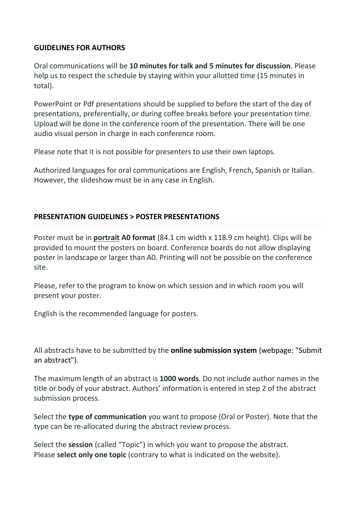## **GUIDELINES FOR AUTHORS**

Oral communications will be **10 minutes for talk and 5 minutes for discussion**. Please help us to respect the schedule by staying within your allotted time (15 minutes in total).

PowerPoint or Pdf presentations should be supplied to before the start of the day of presentations, preferentially, or during coffee breaks before your presentation time. Upload will be done in the conference room of the presentation. There will be one audio visual person in charge in each conference room.

Please note that it is not possible for presenters to use their own laptops.

Authorized languages for oral communications are English, French, Spanish or Italian. However, the slideshow must be in any case in English.

## **PRESENTATION GUIDELINES > POSTER PRESENTATIONS**

Poster must be in **portrait A0 format** (84.1 cm width x 118.9 cm height). Clips will be provided to mount the posters on board. Conference boards do not allow displaying poster in landscape or larger than A0. Printing will not be possible on the conference site.

Please, refer to the program to know on which session and in which room you will present your poster.

English is the recommended language for posters.

All abstracts have to be submitted by the **online submission system** (webpage: "Submit an abstract").

The maximum length of an abstract is **1000 words**. Do not include author names in the title or body of your abstract. Authors' information is entered in step 2 of the abstract submission process.

Select the **type of communication** you want to propose (Oral or Poster). Note that the type can be re-allocated during the abstract review process.

Select the **session** (called "Topic") in which you want to propose the abstract. Please **select only one topic** (contrary to what is indicated on the website).